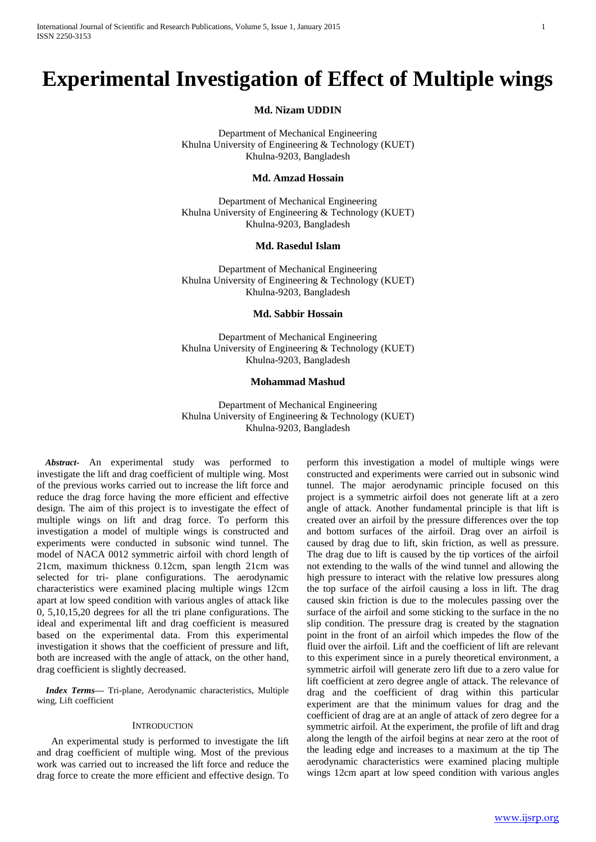# **Experimental Investigation of Effect of Multiple wings**

**Md. Nizam UDDIN**

Department of Mechanical Engineering Khulna University of Engineering & Technology (KUET) Khulna-9203, Bangladesh

### **Md. Amzad Hossain**

Department of Mechanical Engineering Khulna University of Engineering & Technology (KUET) Khulna-9203, Bangladesh

## **Md. Rasedul Islam**

Department of Mechanical Engineering Khulna University of Engineering & Technology (KUET) Khulna-9203, Bangladesh

#### **Md. Sabbir Hossain**

Department of Mechanical Engineering Khulna University of Engineering & Technology (KUET) Khulna-9203, Bangladesh

## **Mohammad Mashud**

Department of Mechanical Engineering Khulna University of Engineering & Technology (KUET) Khulna-9203, Bangladesh

*Abstract***-** An experimental study was performed to investigate the lift and drag coefficient of multiple wing. Most of the previous works carried out to increase the lift force and reduce the drag force having the more efficient and effective design. The aim of this project is to investigate the effect of multiple wings on lift and drag force. To perform this investigation a model of multiple wings is constructed and experiments were conducted in subsonic wind tunnel. The model of NACA 0012 symmetric airfoil with chord length of 21cm, maximum thickness 0.12cm, span length 21cm was selected for tri- plane configurations. The aerodynamic characteristics were examined placing multiple wings 12cm apart at low speed condition with various angles of attack like 0, 5,10,15,20 degrees for all the tri plane configurations. The ideal and experimental lift and drag coefficient is measured based on the experimental data. From this experimental investigation it shows that the coefficient of pressure and lift, both are increased with the angle of attack, on the other hand, drag coefficient is slightly decreased.

*Index Terms***—** Tri-plane, Aerodynamic characteristics, Multiple wing, Lift coefficient

### **INTRODUCTION**

An experimental study is performed to investigate the lift and drag coefficient of multiple wing. Most of the previous work was carried out to increased the lift force and reduce the drag force to create the more efficient and effective design. To

perform this investigation a model of multiple wings were constructed and experiments were carried out in subsonic wind tunnel. The major aerodynamic principle focused on this project is a symmetric airfoil does not generate lift at a zero angle of attack. Another fundamental principle is that lift is created over an airfoil by the pressure differences over the top and bottom surfaces of the airfoil. Drag over an airfoil is caused by drag due to lift, skin friction, as well as pressure. The drag due to lift is caused by the tip vortices of the airfoil not extending to the walls of the wind tunnel and allowing the high pressure to interact with the relative low pressures along the top surface of the airfoil causing a loss in lift. The drag caused skin friction is due to the molecules passing over the surface of the airfoil and some sticking to the surface in the no slip condition. The pressure drag is created by the stagnation point in the front of an airfoil which impedes the flow of the fluid over the airfoil. Lift and the coefficient of lift are relevant to this experiment since in a purely theoretical environment, a symmetric airfoil will generate zero lift due to a zero value for lift coefficient at zero degree angle of attack. The relevance of drag and the coefficient of drag within this particular experiment are that the minimum values for drag and the coefficient of drag are at an angle of attack of zero degree for a symmetric airfoil. At the experiment, the profile of lift and drag along the length of the airfoil begins at near zero at the root of the leading edge and increases to a maximum at the tip The aerodynamic characteristics were examined placing multiple wings 12cm apart at low speed condition with various angles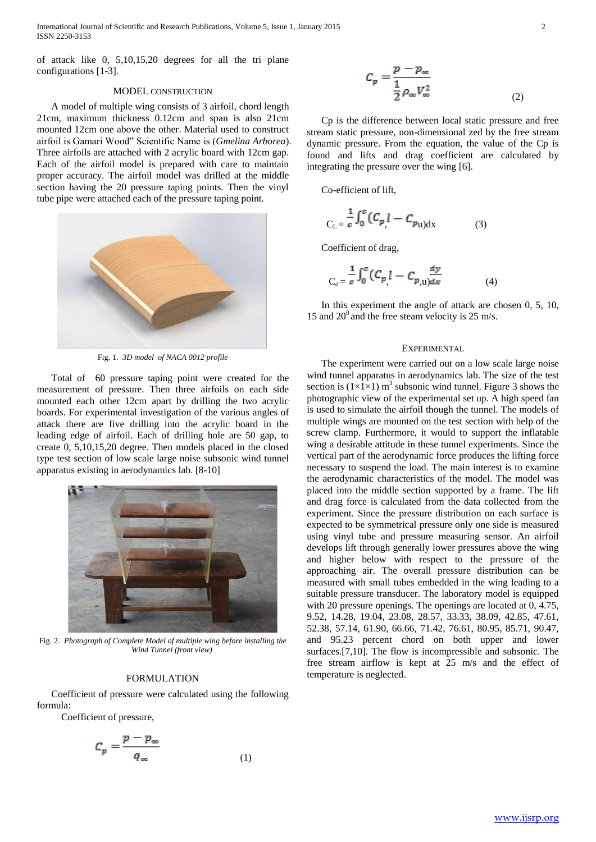International Journal of Scientific and Research Publications, Volume 5, Issue 1, January 2015 2 ISSN 2250-3153

of attack like 0, 5,10,15,20 degrees for all the tri plane configurations [1-3].

#### MODEL CONSTRUCTION

A model of multiple wing consists of 3 airfoil, chord length 21cm, maximum thickness 0.12cm and span is also 21cm mounted 12cm one above the other. Material used to construct airfoil is Gamari Wood" Scientific Name is (*Gmelina Arborea*). Three airfoils are attached with 2 acrylic board with 12cm gap. Each of the airfoil model is prepared with care to maintain proper accuracy. The airfoil model was drilled at the middle section having the 20 pressure taping points. Then the vinyl tube pipe were attached each of the pressure taping point.



Fig. 1. *3D model of NACA 0012 profile*

Total of 60 pressure taping point were created for the measurement of pressure. Then three airfoils on each side mounted each other 12cm apart by drilling the two acrylic boards. For experimental investigation of the various angles of attack there are five drilling into the acrylic board in the leading edge of airfoil. Each of drilling hole are 50 gap, to create 0, 5,10,15,20 degree. Then models placed in the closed type test section of low scale large noise subsonic wind tunnel apparatus existing in aerodynamics lab. [8-10]



Fig. 2. *Photograph of Complete Model of multiple wing before installing the Wind Tunnel (front view)*

#### FORMULATION

Coefficient of pressure were calculated using the following formula:

Coefficient of pressure,

$$
C_p = \frac{p - p_{\infty}}{q_{\infty}} \tag{1}
$$

$$
C_p = \frac{p - p_{\infty}}{\frac{1}{2} \rho_{\infty} V_{\infty}^2}
$$
 (2)

Cp is the difference between local static pressure and free stream static pressure, non-dimensional zed by the free stream dynamic pressure. From the equation, the value of the Cp is found and lifts and drag coefficient are calculated by integrating the pressure over the wing [6].

Co-efficient of lift,

$$
C_{L} = \frac{1}{c} \int_{0}^{c} (C_{p} l - C_{p_{U} dX})
$$
 (3)

Coefficient of drag,

$$
C_{d} = \frac{1}{c} \int_{0}^{c} (C_{p} l - C_{p,u}) \frac{dy}{dx}
$$
 (4)

In this experiment the angle of attack are chosen 0, 5, 10, 15 and  $20^{\circ}$  and the free steam velocity is 25 m/s.

#### EXPERIMENTAL

The experiment were carried out on a low scale large noise wind tunnel apparatus in aerodynamics lab. The size of the test section is  $(1 \times 1 \times 1)$  m<sup>3</sup> subsonic wind tunnel. Figure 3 shows the photographic view of the experimental set up. A high speed fan is used to simulate the airfoil though the tunnel. The models of multiple wings are mounted on the test section with help of the screw clamp. Furthermore, it would to support the inflatable wing a desirable attitude in these tunnel experiments. Since the vertical part of the aerodynamic force produces the lifting force necessary to suspend the load. The main interest is to examine the aerodynamic characteristics of the model. The model was placed into the middle section supported by a frame. The lift and drag force is calculated from the data collected from the experiment. Since the pressure distribution on each surface is expected to be symmetrical pressure only one side is measured using vinyl tube and pressure measuring sensor. An airfoil develops lift through generally lower pressures above the wing and higher below with respect to the pressure of the approaching air. The overall pressure distribution can be measured with small tubes embedded in the wing leading to a suitable pressure transducer. The laboratory model is equipped with 20 pressure openings. The openings are located at 0, 4.75, 9.52, 14.28, 19.04, 23.08, 28.57, 33.33, 38.09, 42.85, 47.61, 52.38, 57.14, 61.90, 66.66, 71.42, 76.61, 80.95, 85.71, 90.47, and 95.23 percent chord on both upper and lower surfaces.[7,10]. The flow is incompressible and subsonic. The free stream airflow is kept at 25 m/s and the effect of temperature is neglected.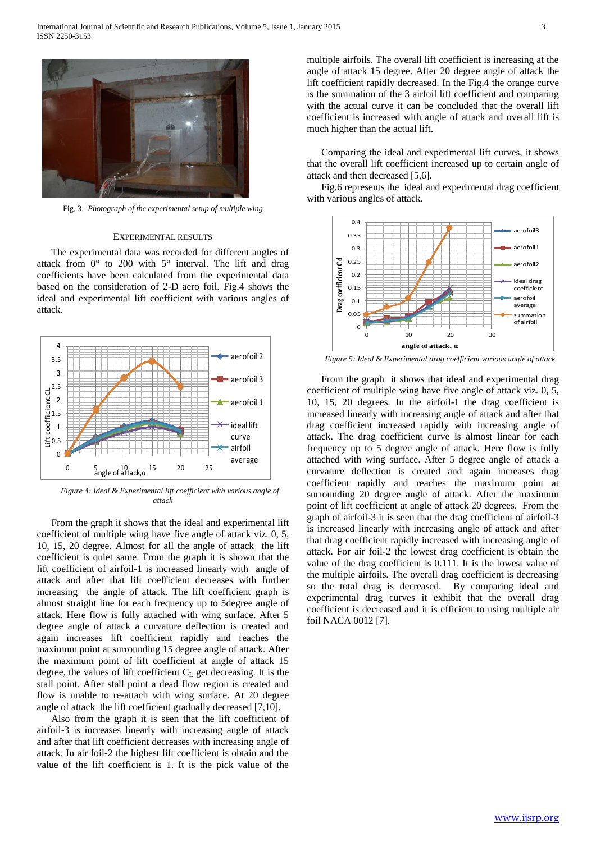

Fig. 3. *Photograph of the experimental setup of multiple wing*

#### EXPERIMENTAL RESULTS

The experimental data was recorded for different angles of attack from 0° to 200 with 5° interval. The lift and drag coefficients have been calculated from the experimental data based on the consideration of 2-D aero foil. Fig.4 shows the ideal and experimental lift coefficient with various angles of attack.



*Figure 4: Ideal & Experimental lift coefficient with various angle of attack*

From the graph it shows that the ideal and experimental lift coefficient of multiple wing have five angle of attack viz. 0, 5, 10, 15, 20 degree. Almost for all the angle of attack the lift coefficient is quiet same. From the graph it is shown that the lift coefficient of airfoil-1 is increased linearly with angle of attack and after that lift coefficient decreases with further increasing the angle of attack. The lift coefficient graph is almost straight line for each frequency up to 5degree angle of attack. Here flow is fully attached with wing surface. After 5 degree angle of attack a curvature deflection is created and again increases lift coefficient rapidly and reaches the maximum point at surrounding 15 degree angle of attack. After the maximum point of lift coefficient at angle of attack 15 degree, the values of lift coefficient  $C_L$  get decreasing. It is the stall point. After stall point a dead flow region is created and flow is unable to re-attach with wing surface. At 20 degree angle of attack the lift coefficient gradually decreased [7,10].

Also from the graph it is seen that the lift coefficient of airfoil-3 is increases linearly with increasing angle of attack and after that lift coefficient decreases with increasing angle of attack. In air foil-2 the highest lift coefficient is obtain and the value of the lift coefficient is 1. It is the pick value of the

multiple airfoils. The overall lift coefficient is increasing at the angle of attack 15 degree. After 20 degree angle of attack the lift coefficient rapidly decreased. In the Fig.4 the orange curve is the summation of the 3 airfoil lift coefficient and comparing with the actual curve it can be concluded that the overall lift coefficient is increased with angle of attack and overall lift is much higher than the actual lift.

Comparing the ideal and experimental lift curves, it shows that the overall lift coefficient increased up to certain angle of attack and then decreased [5,6].

Fig.6 represents the ideal and experimental drag coefficient with various angles of attack.



*Figure 5: Ideal & Experimental drag coefficient various angle of attack*

From the graph it shows that ideal and experimental drag coefficient of multiple wing have five angle of attack viz. 0, 5, 10, 15, 20 degrees. In the airfoil-1 the drag coefficient is increased linearly with increasing angle of attack and after that drag coefficient increased rapidly with increasing angle of attack. The drag coefficient curve is almost linear for each frequency up to 5 degree angle of attack. Here flow is fully attached with wing surface. After 5 degree angle of attack a curvature deflection is created and again increases drag coefficient rapidly and reaches the maximum point at surrounding 20 degree angle of attack. After the maximum point of lift coefficient at angle of attack 20 degrees. From the graph of airfoil-3 it is seen that the drag coefficient of airfoil-3 is increased linearly with increasing angle of attack and after that drag coefficient rapidly increased with increasing angle of attack. For air foil-2 the lowest drag coefficient is obtain the value of the drag coefficient is 0.111. It is the lowest value of the multiple airfoils. The overall drag coefficient is decreasing so the total drag is decreased. By comparing ideal and experimental drag curves it exhibit that the overall drag coefficient is decreased and it is efficient to using multiple air foil NACA 0012 [7].